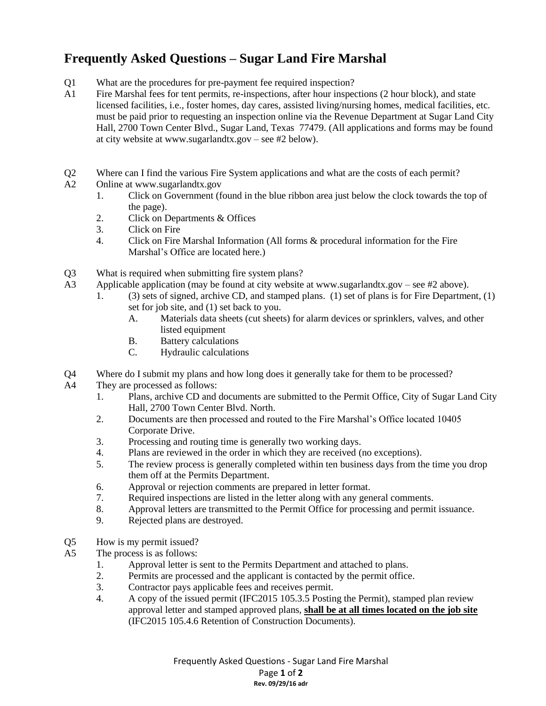## **Frequently Asked Questions – Sugar Land Fire Marshal**

- Q1 What are the procedures for pre-payment fee required inspection?<br>A1 Fire Marshal fees for tent permits, re-inspections, after hour inspection
- Fire Marshal fees for tent permits, re-inspections, after hour inspections (2 hour block), and state licensed facilities, i.e., foster homes, day cares, assisted living/nursing homes, medical facilities, etc. must be paid prior to requesting an inspection online via the Revenue Department at Sugar Land City Hall, 2700 Town Center Blvd., Sugar Land, Texas 77479. (All applications and forms may be found at city website at www.sugarlandtx.gov – see #2 below).
- Q2 Where can I find the various Fire System applications and what are the costs of each permit?
- A2 Online at www.sugarlandtx.gov
	- 1. Click on Government (found in the blue ribbon area just below the clock towards the top of the page).
	- 2. Click on Departments & Offices
	- 3. Click on Fire
	- 4. Click on Fire Marshal Information (All forms & procedural information for the Fire Marshal's Office are located here.)
- Q3 What is required when submitting fire system plans?
- A3 Applicable application (may be found at city website at www.sugarlandtx.gov see #2 above).
	- 1. (3) sets of signed, archive CD, and stamped plans. (1) set of plans is for Fire Department, (1) set for job site, and (1) set back to you.
		- A. Materials data sheets (cut sheets) for alarm devices or sprinklers, valves, and other listed equipment
		- B. Battery calculations
		- C. Hydraulic calculations
- Q4 Where do I submit my plans and how long does it generally take for them to be processed?
- A4 They are processed as follows:
	- 1. Plans, archive CD and documents are submitted to the Permit Office, City of Sugar Land City Hall, 2700 Town Center Blvd. North.
	- 2. Documents are then processed and routed to the Fire Marshal's Office located 10405 Corporate Drive.
	- 3. Processing and routing time is generally two working days.
	- 4. Plans are reviewed in the order in which they are received (no exceptions).
	- 5. The review process is generally completed within ten business days from the time you drop them off at the Permits Department.
	- 6. Approval or rejection comments are prepared in letter format.
	- 7. Required inspections are listed in the letter along with any general comments.
	- 8. Approval letters are transmitted to the Permit Office for processing and permit issuance.
	- 9. Rejected plans are destroyed.
- Q5 How is my permit issued?<br>A5 The process is as follows:
	- The process is as follows:
		- 1. Approval letter is sent to the Permits Department and attached to plans.
		- 2. Permits are processed and the applicant is contacted by the permit office.
		- 3. Contractor pays applicable fees and receives permit.
		- 4. A copy of the issued permit (IFC2015 105.3.5 Posting the Permit), stamped plan review approval letter and stamped approved plans, **shall be at all times located on the job site** (IFC2015 105.4.6 Retention of Construction Documents).

Frequently Asked Questions - Sugar Land Fire Marshal Page **1** of **2 Rev. 09/29/16 adr**